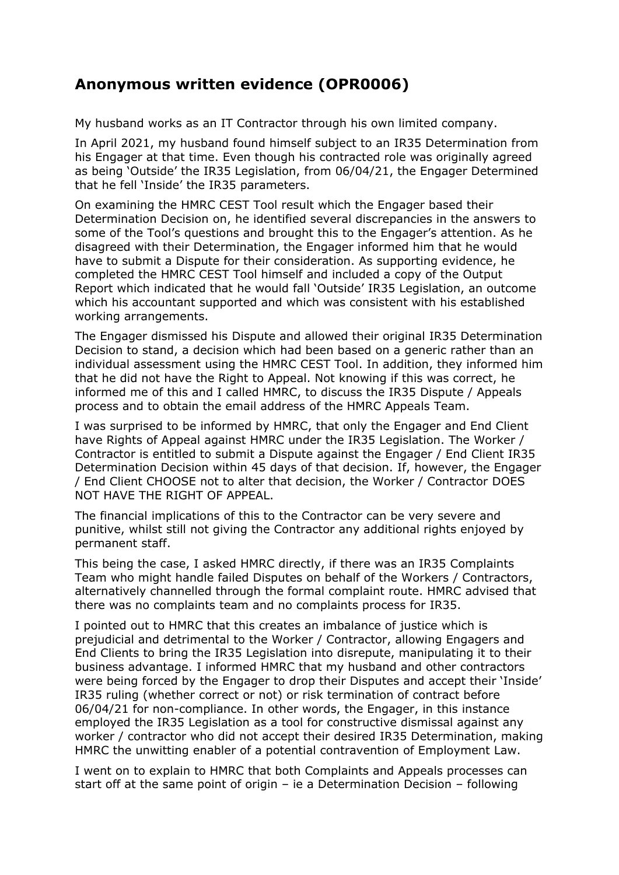## **Anonymous written evidence (OPR0006)**

My husband works as an IT Contractor through his own limited company.

In April 2021, my husband found himself subject to an IR35 Determination from his Engager at that time. Even though his contracted role was originally agreed as being 'Outside' the IR35 Legislation, from 06/04/21, the Engager Determined that he fell 'Inside' the IR35 parameters.

On examining the HMRC CEST Tool result which the Engager based their Determination Decision on, he identified several discrepancies in the answers to some of the Tool's questions and brought this to the Engager's attention. As he disagreed with their Determination, the Engager informed him that he would have to submit a Dispute for their consideration. As supporting evidence, he completed the HMRC CEST Tool himself and included a copy of the Output Report which indicated that he would fall 'Outside' IR35 Legislation, an outcome which his accountant supported and which was consistent with his established working arrangements.

The Engager dismissed his Dispute and allowed their original IR35 Determination Decision to stand, a decision which had been based on a generic rather than an individual assessment using the HMRC CEST Tool. In addition, they informed him that he did not have the Right to Appeal. Not knowing if this was correct, he informed me of this and I called HMRC, to discuss the IR35 Dispute / Appeals process and to obtain the email address of the HMRC Appeals Team.

I was surprised to be informed by HMRC, that only the Engager and End Client have Rights of Appeal against HMRC under the IR35 Legislation. The Worker / Contractor is entitled to submit a Dispute against the Engager / End Client IR35 Determination Decision within 45 days of that decision. If, however, the Engager / End Client CHOOSE not to alter that decision, the Worker / Contractor DOES NOT HAVE THE RIGHT OF APPEAL.

The financial implications of this to the Contractor can be very severe and punitive, whilst still not giving the Contractor any additional rights enjoyed by permanent staff.

This being the case, I asked HMRC directly, if there was an IR35 Complaints Team who might handle failed Disputes on behalf of the Workers / Contractors, alternatively channelled through the formal complaint route. HMRC advised that there was no complaints team and no complaints process for IR35.

I pointed out to HMRC that this creates an imbalance of justice which is prejudicial and detrimental to the Worker / Contractor, allowing Engagers and End Clients to bring the IR35 Legislation into disrepute, manipulating it to their business advantage. I informed HMRC that my husband and other contractors were being forced by the Engager to drop their Disputes and accept their 'Inside' IR35 ruling (whether correct or not) or risk termination of contract before 06/04/21 for non-compliance. In other words, the Engager, in this instance employed the IR35 Legislation as a tool for constructive dismissal against any worker / contractor who did not accept their desired IR35 Determination, making HMRC the unwitting enabler of a potential contravention of Employment Law.

I went on to explain to HMRC that both Complaints and Appeals processes can start off at the same point of origin – ie a Determination Decision – following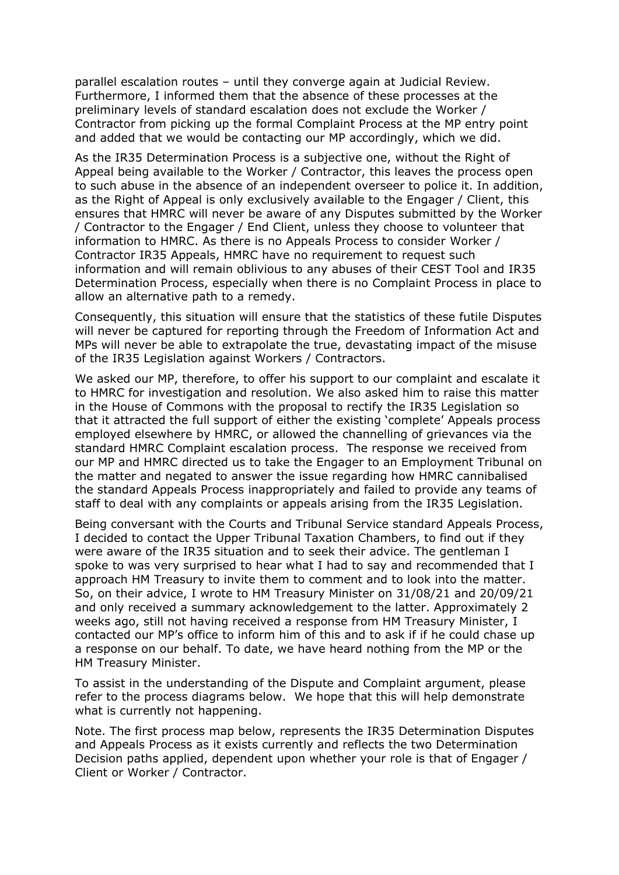parallel escalation routes – until they converge again at Judicial Review. Furthermore, I informed them that the absence of these processes at the preliminary levels of standard escalation does not exclude the Worker / Contractor from picking up the formal Complaint Process at the MP entry point and added that we would be contacting our MP accordingly, which we did.

As the IR35 Determination Process is a subjective one, without the Right of Appeal being available to the Worker / Contractor, this leaves the process open to such abuse in the absence of an independent overseer to police it. In addition, as the Right of Appeal is only exclusively available to the Engager / Client, this ensures that HMRC will never be aware of any Disputes submitted by the Worker / Contractor to the Engager / End Client, unless they choose to volunteer that information to HMRC. As there is no Appeals Process to consider Worker / Contractor IR35 Appeals, HMRC have no requirement to request such information and will remain oblivious to any abuses of their CEST Tool and IR35 Determination Process, especially when there is no Complaint Process in place to allow an alternative path to a remedy.

Consequently, this situation will ensure that the statistics of these futile Disputes will never be captured for reporting through the Freedom of Information Act and MPs will never be able to extrapolate the true, devastating impact of the misuse of the IR35 Legislation against Workers / Contractors.

We asked our MP, therefore, to offer his support to our complaint and escalate it to HMRC for investigation and resolution. We also asked him to raise this matter in the House of Commons with the proposal to rectify the IR35 Legislation so that it attracted the full support of either the existing 'complete' Appeals process employed elsewhere by HMRC, or allowed the channelling of grievances via the standard HMRC Complaint escalation process. The response we received from our MP and HMRC directed us to take the Engager to an Employment Tribunal on the matter and negated to answer the issue regarding how HMRC cannibalised the standard Appeals Process inappropriately and failed to provide any teams of staff to deal with any complaints or appeals arising from the IR35 Legislation.

Being conversant with the Courts and Tribunal Service standard Appeals Process, I decided to contact the Upper Tribunal Taxation Chambers, to find out if they were aware of the IR35 situation and to seek their advice. The gentleman I spoke to was very surprised to hear what I had to say and recommended that I approach HM Treasury to invite them to comment and to look into the matter. So, on their advice, I wrote to HM Treasury Minister on 31/08/21 and 20/09/21 and only received a summary acknowledgement to the latter. Approximately 2 weeks ago, still not having received a response from HM Treasury Minister, I contacted our MP's office to inform him of this and to ask if if he could chase up a response on our behalf. To date, we have heard nothing from the MP or the HM Treasury Minister.

To assist in the understanding of the Dispute and Complaint argument, please refer to the process diagrams below. We hope that this will help demonstrate what is currently not happening.

Note. The first process map below, represents the IR35 Determination Disputes and Appeals Process as it exists currently and reflects the two Determination Decision paths applied, dependent upon whether your role is that of Engager / Client or Worker / Contractor.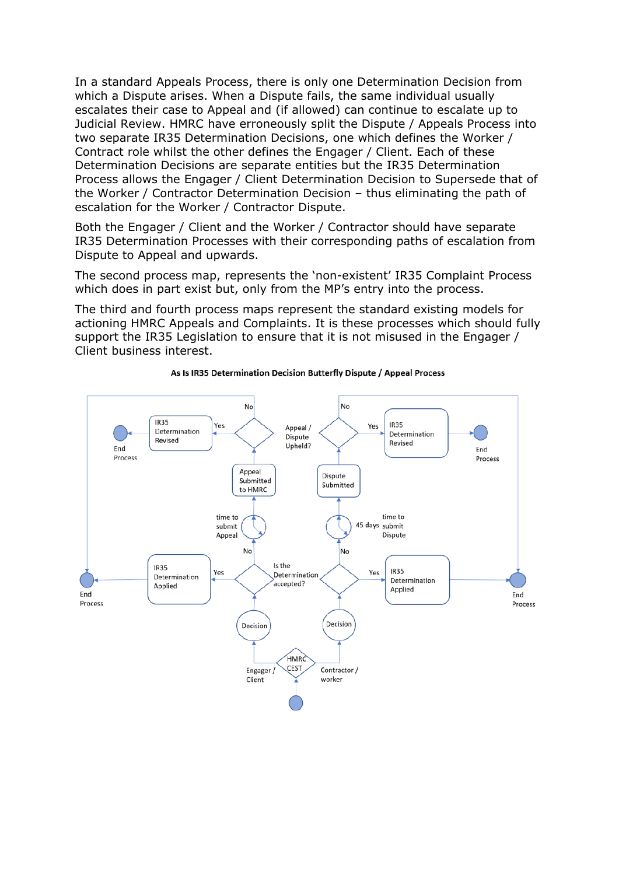In a standard Appeals Process, there is only one Determination Decision from which a Dispute arises. When a Dispute fails, the same individual usually escalates their case to Appeal and (if allowed) can continue to escalate up to Judicial Review. HMRC have erroneously split the Dispute / Appeals Process into two separate IR35 Determination Decisions, one which defines the Worker / Contract role whilst the other defines the Engager / Client. Each of these Determination Decisions are separate entities but the IR35 Determination Process allows the Engager / Client Determination Decision to Supersede that of the Worker / Contractor Determination Decision – thus eliminating the path of escalation for the Worker / Contractor Dispute.

Both the Engager / Client and the Worker / Contractor should have separate IR35 Determination Processes with their corresponding paths of escalation from Dispute to Appeal and upwards.

The second process map, represents the 'non-existent' IR35 Complaint Process which does in part exist but, only from the MP's entry into the process.

The third and fourth process maps represent the standard existing models for actioning HMRC Appeals and Complaints. It is these processes which should fully support the IR35 Legislation to ensure that it is not misused in the Engager / Client business interest.



## As Is IR35 Determination Decision Butterfly Dispute / Appeal Process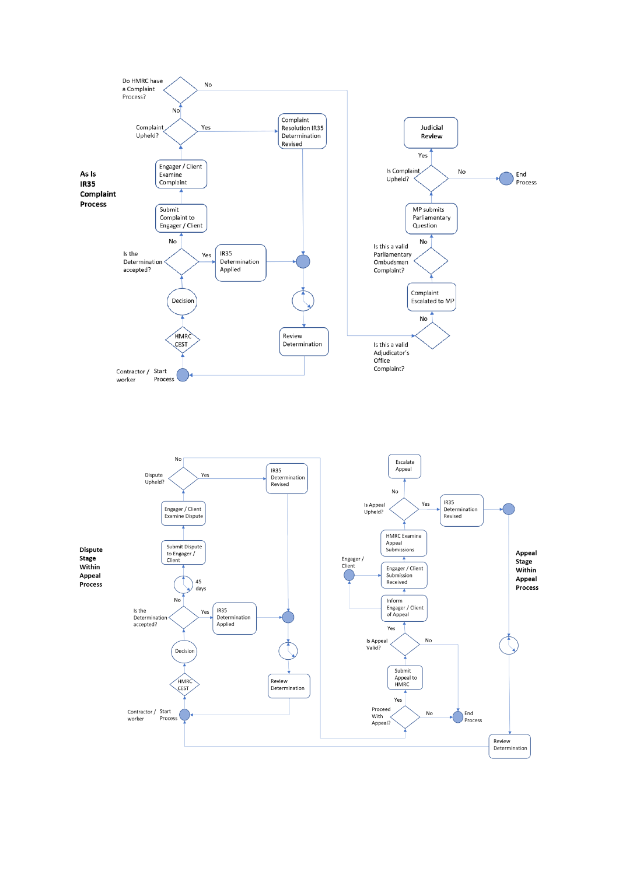